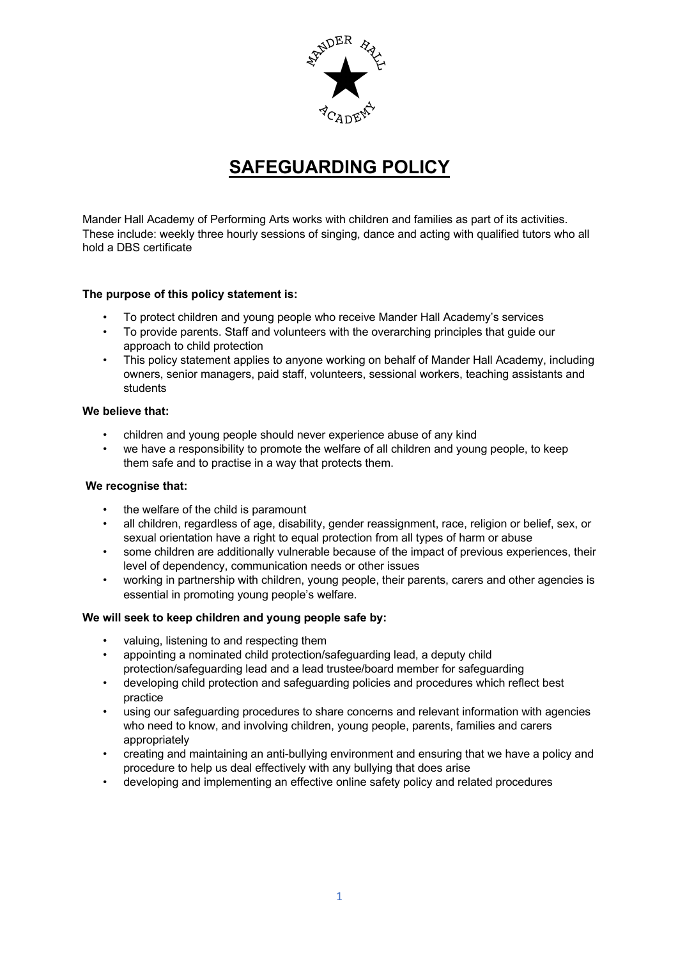

# **SAFEGUARDING POLICY**

Mander Hall Academy of Performing Arts works with children and families as part of its activities. These include: weekly three hourly sessions of singing, dance and acting with qualified tutors who all hold a DBS certificate

## **The purpose of this policy statement is:**

- To protect children and young people who receive Mander Hall Academy's services
- To provide parents. Staff and volunteers with the overarching principles that guide our approach to child protection
- This policy statement applies to anyone working on behalf of Mander Hall Academy, including owners, senior managers, paid staff, volunteers, sessional workers, teaching assistants and students

### **We believe that:**

- children and young people should never experience abuse of any kind
- we have a responsibility to promote the welfare of all children and young people, to keep them safe and to practise in a way that protects them.

#### **We recognise that:**

- the welfare of the child is paramount
- all children, regardless of age, disability, gender reassignment, race, religion or belief, sex, or sexual orientation have a right to equal protection from all types of harm or abuse
- some children are additionally vulnerable because of the impact of previous experiences, their level of dependency, communication needs or other issues
- working in partnership with children, young people, their parents, carers and other agencies is essential in promoting young people's welfare.

#### **We will seek to keep children and young people safe by:**

- valuing, listening to and respecting them
- appointing a nominated child protection/safeguarding lead, a deputy child protection/safeguarding lead and a lead trustee/board member for safeguarding
- developing child protection and safeguarding policies and procedures which reflect best practice
- using our safeguarding procedures to share concerns and relevant information with agencies who need to know, and involving children, young people, parents, families and carers appropriately
- creating and maintaining an anti-bullying environment and ensuring that we have a policy and procedure to help us deal effectively with any bullying that does arise
- developing and implementing an effective online safety policy and related procedures